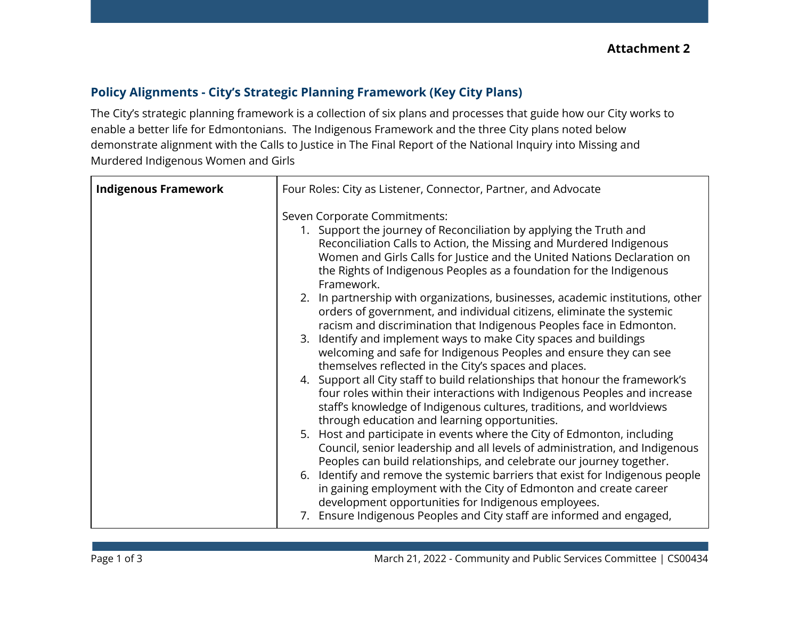## **Policy Alignments - City's Strategic Planning Framework (Key City Plans)**

The City's strategic planning framework is a collection of six plans and processes that guide how our City works to enable a better life for Edmontonians. The Indigenous Framework and the three City plans noted below demonstrate alignment with the Calls to Justice in The Final Report of the National Inquiry into Missing and Murdered Indigenous Women and Girls

| <b>Indigenous Framework</b> | Four Roles: City as Listener, Connector, Partner, and Advocate                                                                                                                                                                                                                                                                                                                                                                                                                                                                                                                                                                                                                                                                                                                                                                                                                                                                                                                                                                                                                                                                                                                                                                                                                                                                                                                                                                                                                                                     |
|-----------------------------|--------------------------------------------------------------------------------------------------------------------------------------------------------------------------------------------------------------------------------------------------------------------------------------------------------------------------------------------------------------------------------------------------------------------------------------------------------------------------------------------------------------------------------------------------------------------------------------------------------------------------------------------------------------------------------------------------------------------------------------------------------------------------------------------------------------------------------------------------------------------------------------------------------------------------------------------------------------------------------------------------------------------------------------------------------------------------------------------------------------------------------------------------------------------------------------------------------------------------------------------------------------------------------------------------------------------------------------------------------------------------------------------------------------------------------------------------------------------------------------------------------------------|
|                             | Seven Corporate Commitments:<br>1. Support the journey of Reconciliation by applying the Truth and<br>Reconciliation Calls to Action, the Missing and Murdered Indigenous<br>Women and Girls Calls for Justice and the United Nations Declaration on<br>the Rights of Indigenous Peoples as a foundation for the Indigenous<br>Framework.<br>2. In partnership with organizations, businesses, academic institutions, other<br>orders of government, and individual citizens, eliminate the systemic<br>racism and discrimination that Indigenous Peoples face in Edmonton.<br>3. Identify and implement ways to make City spaces and buildings<br>welcoming and safe for Indigenous Peoples and ensure they can see<br>themselves reflected in the City's spaces and places.<br>4. Support all City staff to build relationships that honour the framework's<br>four roles within their interactions with Indigenous Peoples and increase<br>staff's knowledge of Indigenous cultures, traditions, and worldviews<br>through education and learning opportunities.<br>5. Host and participate in events where the City of Edmonton, including<br>Council, senior leadership and all levels of administration, and Indigenous<br>Peoples can build relationships, and celebrate our journey together.<br>6. Identify and remove the systemic barriers that exist for Indigenous people<br>in gaining employment with the City of Edmonton and create career<br>development opportunities for Indigenous employees. |
|                             | 7. Ensure Indigenous Peoples and City staff are informed and engaged,                                                                                                                                                                                                                                                                                                                                                                                                                                                                                                                                                                                                                                                                                                                                                                                                                                                                                                                                                                                                                                                                                                                                                                                                                                                                                                                                                                                                                                              |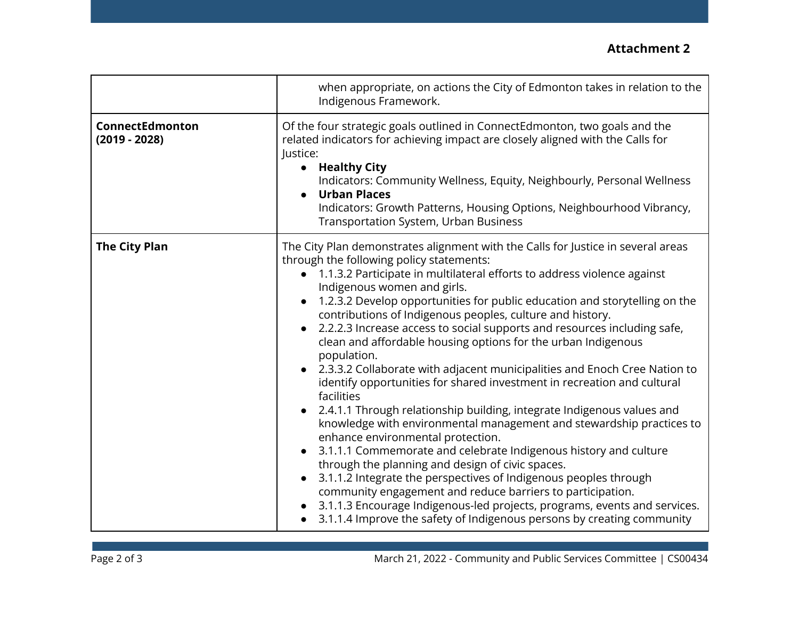## **Attachment 2**

|                                    | when appropriate, on actions the City of Edmonton takes in relation to the<br>Indigenous Framework.                                                                                                                                                                                                                                                                                                                                                                                                                                                                                                                                                                                                                                                                                                                                                                                                                                                                                                                                                                                                                                                                                                                                                                                                                                                     |
|------------------------------------|---------------------------------------------------------------------------------------------------------------------------------------------------------------------------------------------------------------------------------------------------------------------------------------------------------------------------------------------------------------------------------------------------------------------------------------------------------------------------------------------------------------------------------------------------------------------------------------------------------------------------------------------------------------------------------------------------------------------------------------------------------------------------------------------------------------------------------------------------------------------------------------------------------------------------------------------------------------------------------------------------------------------------------------------------------------------------------------------------------------------------------------------------------------------------------------------------------------------------------------------------------------------------------------------------------------------------------------------------------|
| ConnectEdmonton<br>$(2019 - 2028)$ | Of the four strategic goals outlined in ConnectEdmonton, two goals and the<br>related indicators for achieving impact are closely aligned with the Calls for<br>Justice:<br>• Healthy City<br>Indicators: Community Wellness, Equity, Neighbourly, Personal Wellness<br><b>Urban Places</b><br>$\bullet$<br>Indicators: Growth Patterns, Housing Options, Neighbourhood Vibrancy,<br><b>Transportation System, Urban Business</b>                                                                                                                                                                                                                                                                                                                                                                                                                                                                                                                                                                                                                                                                                                                                                                                                                                                                                                                       |
| <b>The City Plan</b>               | The City Plan demonstrates alignment with the Calls for Justice in several areas<br>through the following policy statements:<br>• 1.1.3.2 Participate in multilateral efforts to address violence against<br>Indigenous women and girls.<br>1.2.3.2 Develop opportunities for public education and storytelling on the<br>contributions of Indigenous peoples, culture and history.<br>2.2.2.3 Increase access to social supports and resources including safe,<br>$\bullet$<br>clean and affordable housing options for the urban Indigenous<br>population.<br>2.3.3.2 Collaborate with adjacent municipalities and Enoch Cree Nation to<br>identify opportunities for shared investment in recreation and cultural<br>facilities<br>2.4.1.1 Through relationship building, integrate Indigenous values and<br>knowledge with environmental management and stewardship practices to<br>enhance environmental protection.<br>3.1.1.1 Commemorate and celebrate Indigenous history and culture<br>$\bullet$<br>through the planning and design of civic spaces.<br>3.1.1.2 Integrate the perspectives of Indigenous peoples through<br>community engagement and reduce barriers to participation.<br>3.1.1.3 Encourage Indigenous-led projects, programs, events and services.<br>3.1.1.4 Improve the safety of Indigenous persons by creating community |